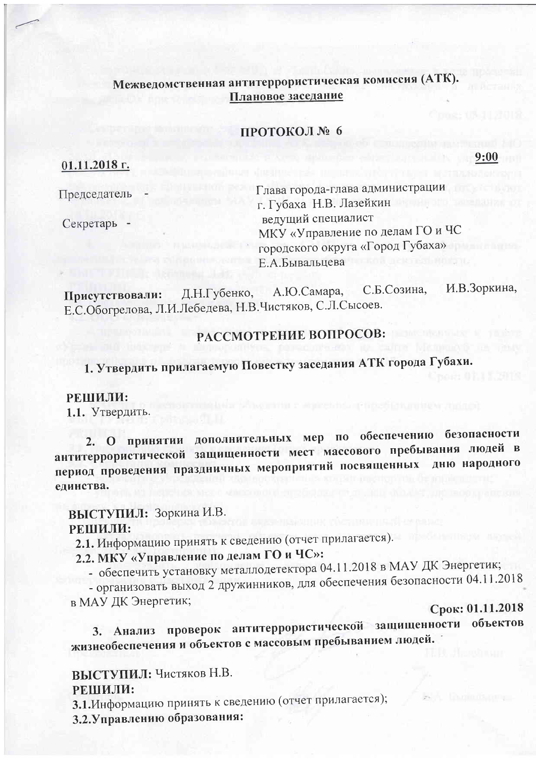# Межведомственная антитеррористическая комиссия (АТК). Плановое заседание

## ПРОТОКОЛ № 6

 $01.11.2018$  г.

9:00

Председатель

Секретарь -

Глава города-глава администрации г. Губаха Н.В. Лазейкин ведущий специалист МКУ «Управление по делам ГО и ЧС городского округа «Город Губаха» Е.А.Бывальцева

И.В.Зоркина, С.Б.Созина, А.Ю.Самара, Д.Н.Губенко, Присутствовали: Е.С.Обогрелова, Л.И.Лебедева, Н.В.Чистяков, С.Л.Сысоев.

# РАССМОТРЕНИЕ ВОПРОСОВ:

1. Утвердить прилагаемую Повестку заседания АТК города Губахи.

## РЕШИЛИ:

1.1. Утвердить.

2. О принятии дополнительных мер по обеспечению безопасности антитеррористической защищенности мест массового пребывания людей в период проведения праздничных мероприятий посвященных дню народного единства.

ВЫСТУПИЛ: Зоркина И.В. РЕШИЛИ:

2.1. Информацию принять к сведению (отчет прилагается).

2.2. МКУ «Управление по делам ГО и ЧС»:

- обеспечить установку металлодетектора 04.11.2018 в МАУ ДК Энергетик;

- организовать выход 2 дружинников, для обеспечения безопасности 04.11.2018

в МАУ ДК Энергетик;

Срок: 01.11.2018

3. Анализ проверок антитеррористической защищенности объектов жизнеобеспечения и объектов с массовым пребыванием людей.

ВЫСТУПИЛ: Чистяков Н.В.

## РЕШИЛИ:

3.1. Информацию принять к сведению (отчет прилагается);

3.2. Управлению образования: